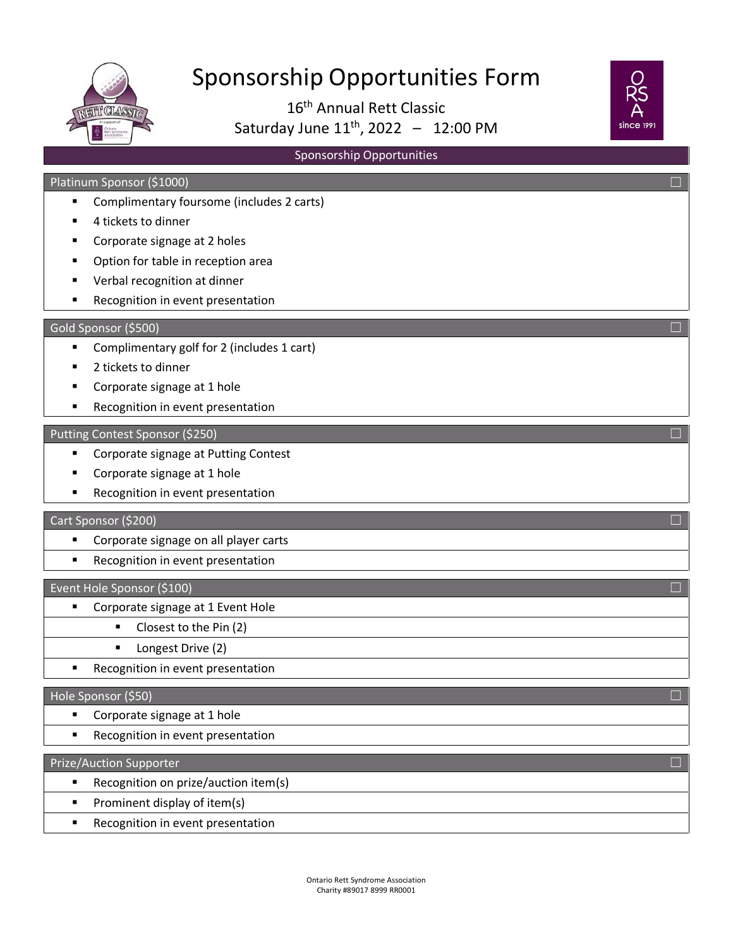

# Sponsorship Opportunities Form

16th Annual Rett Classic Saturday June  $11^{th}$ , 2022 - 12:00 PM



# Sponsorship Opportunities

## Platinum Sponsor (\$1000) ☐

- Complimentary foursome (includes 2 carts)
- 4 tickets to dinner
- **Corporate signage at 2 holes**
- **•** Option for table in reception area
- Verbal recognition at dinner
- **Recognition in event presentation**

#### Gold Sponsor (\$500)  $\Box$

- Complimentary golf for 2 (includes 1 cart)
- 2 tickets to dinner
- **Corporate signage at 1 hole**
- **Recognition in event presentation**

#### Putting Contest Sponsor (\$250) ☐

- Corporate signage at Putting Contest
- Corporate signage at 1 hole
- Recognition in event presentation

### Cart Sponsor (\$200) ☐

- **Corporate signage on all player carts**
- **Recognition in event presentation**

#### Event Hole Sponsor (\$100)  $\Box$

- Corporate signage at 1 Event Hole
	- Closest to the Pin (2)
		- **Longest Drive (2)**
	- **Recognition in event presentation**

#### $\Box$  Hole Sponsor (\$50)  $\Box$

- Corporate signage at 1 hole
- **Recognition in event presentation**

## Prize/Auction Supporter ☐

- **Recognition on prize/auction item(s)**
- Prominent display of item(s)
- Recognition in event presentation